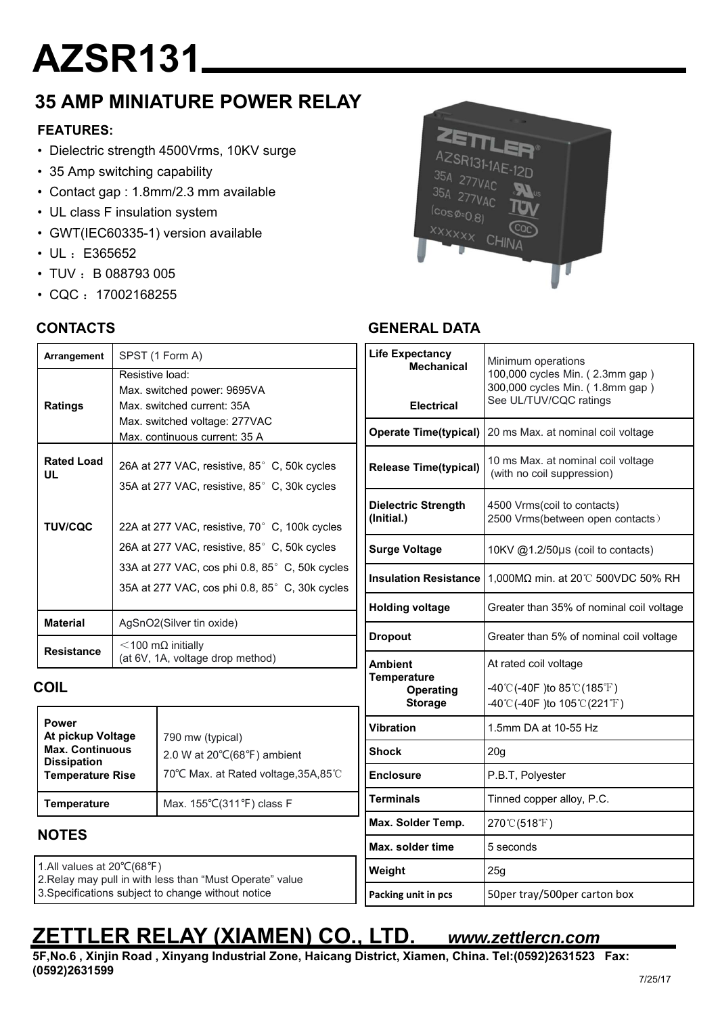# **AZSR131**

## **35 AMP MINIATURE POWER RELAY**

## **FEATURES:**

- Dielectric strength 4500Vrms, 10KV surge
- 35 Amp switching capability
- Contact gap : 1.8mm/2.3 mm available
- UL class F insulation system
- GWT(IEC60335-1) version available
- UL: E365652
- $\cdot$  TUV : B 088793 005
- $\cdot$  CQC: 17002168255

## **CONTACTS**



## **GENERAL DATA**

| Arrangement                                  | SPST (1 Form A)<br>Resistive load:<br>Max. switched power: 9695VA |                                                                                                  | <b>Life Expectancy</b><br><b>Mechanical</b>       | Minimum operations<br>100,000 cycles Min. (2.3mm gap)<br>300,000 cycles Min. (1.8mm gap) |  |
|----------------------------------------------|-------------------------------------------------------------------|--------------------------------------------------------------------------------------------------|---------------------------------------------------|------------------------------------------------------------------------------------------|--|
| <b>Ratings</b>                               |                                                                   | Max. switched current: 35A                                                                       | <b>Electrical</b>                                 | See UL/TUV/CQC ratings                                                                   |  |
|                                              |                                                                   | Max. switched voltage: 277VAC<br>Max. continuous current: 35 A                                   |                                                   | Operate Time(typical)   20 ms Max. at nominal coil voltage                               |  |
| <b>Rated Load</b><br>UL                      |                                                                   | 26A at 277 VAC, resistive, 85° C, 50k cycles<br>35A at 277 VAC, resistive, 85° C, 30k cycles     | <b>Release Time(typical)</b>                      | 10 ms Max. at nominal coil voltage<br>(with no coil suppression)                         |  |
| <b>TUV/CQC</b>                               |                                                                   | 22A at 277 VAC, resistive, 70° C, 100k cycles                                                    | <b>Dielectric Strength</b><br>(Initial.)          | 4500 Vrms(coil to contacts)<br>2500 Vrms(between open contacts)                          |  |
|                                              |                                                                   | 26A at 277 VAC, resistive, 85° C, 50k cycles                                                     | <b>Surge Voltage</b>                              | 10KV @1.2/50µs (coil to contacts)                                                        |  |
|                                              |                                                                   | 33A at 277 VAC, cos phi 0.8, 85° C, 50k cycles<br>35A at 277 VAC, cos phi 0.8, 85° C, 30k cycles |                                                   | Insulation Resistance $1,000M\Omega$ min. at 20°C 500VDC 50% RH                          |  |
|                                              |                                                                   |                                                                                                  | <b>Holding voltage</b>                            | Greater than 35% of nominal coil voltage                                                 |  |
| <b>Material</b>                              |                                                                   | AgSnO2(Silver tin oxide)                                                                         | <b>Dropout</b>                                    | Greater than 5% of nominal coil voltage                                                  |  |
| <b>Resistance</b>                            |                                                                   | $<$ 100 m $\Omega$ initially<br>(at 6V, 1A, voltage drop method)                                 | <b>Ambient</b>                                    | At rated coil voltage                                                                    |  |
| <b>COIL</b>                                  |                                                                   |                                                                                                  | <b>Temperature</b><br>Operating<br><b>Storage</b> | -40°C(-40F) to 85°C(185°F)<br>-40°C(-40F) to $105^{\circ}$ C(221°F)                      |  |
| <b>Power</b><br>At pickup Voltage            |                                                                   | 790 mw (typical)<br>2.0 W at 20°C(68°F) ambient                                                  | <b>Vibration</b>                                  | 1.5mm DA at 10-55 Hz                                                                     |  |
| <b>Max. Continuous</b><br><b>Dissipation</b> |                                                                   |                                                                                                  | <b>Shock</b>                                      | 20 <sub>g</sub>                                                                          |  |
| <b>Temperature Rise</b>                      |                                                                   | 70°C Max. at Rated voltage, 35A, 85℃                                                             | <b>Enclosure</b>                                  | P.B.T, Polyester                                                                         |  |
| <b>Temperature</b>                           |                                                                   | Max. 155°C(311°F) class F                                                                        | <b>Terminals</b>                                  | Tinned copper alloy, P.C.                                                                |  |
| <b>NOTES</b>                                 |                                                                   |                                                                                                  | Max. Solder Temp.                                 | 270°C(518°F)                                                                             |  |
|                                              |                                                                   |                                                                                                  | Max. solder time                                  | 5 seconds                                                                                |  |
| 1.All values at 20°C(68°F)                   |                                                                   | 2. Relay may pull in with less than "Must Operate" value                                         | Weight                                            | 25g                                                                                      |  |
|                                              |                                                                   | 3. Specifications subject to change without notice                                               | Packing unit in pcs                               | 50per tray/500per carton box                                                             |  |

## **ZETTLER RELAY (XIAMEN) CO., LTD.** *www.zettlercn.com*

**5F,No.6 , Xinjin Road , Xinyang Industrial Zone, Haicang District, Xiamen, China. Tel:(0592)2631523 Fax: (0592)2631599**